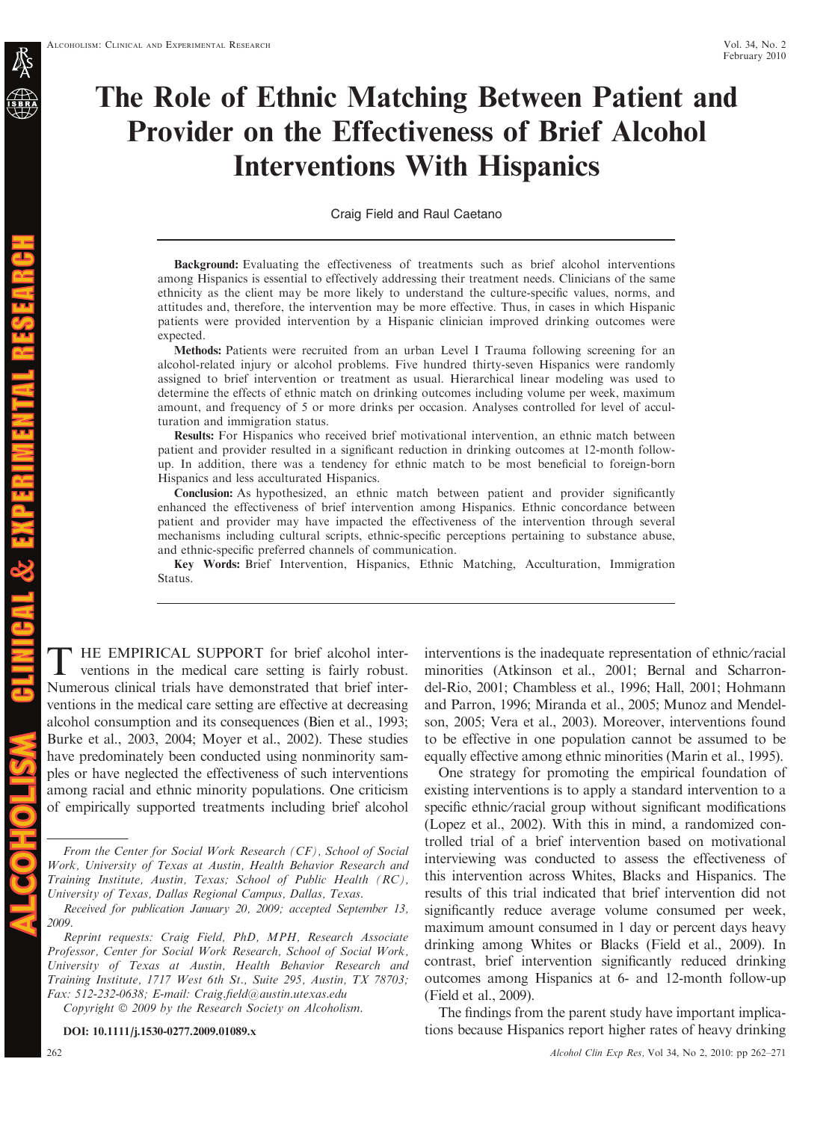# The Role of Ethnic Matching Between Patient and Provider on the Effectiveness of Brief Alcohol Interventions With Hispanics

Craig Field and Raul Caetano

Background: Evaluating the effectiveness of treatments such as brief alcohol interventions among Hispanics is essential to effectively addressing their treatment needs. Clinicians of the same ethnicity as the client may be more likely to understand the culture-specific values, norms, and attitudes and, therefore, the intervention may be more effective. Thus, in cases in which Hispanic patients were provided intervention by a Hispanic clinician improved drinking outcomes were expected.

Methods: Patients were recruited from an urban Level I Trauma following screening for an alcohol-related injury or alcohol problems. Five hundred thirty-seven Hispanics were randomly assigned to brief intervention or treatment as usual. Hierarchical linear modeling was used to determine the effects of ethnic match on drinking outcomes including volume per week, maximum amount, and frequency of 5 or more drinks per occasion. Analyses controlled for level of acculturation and immigration status.

Results: For Hispanics who received brief motivational intervention, an ethnic match between patient and provider resulted in a significant reduction in drinking outcomes at 12-month followup. In addition, there was a tendency for ethnic match to be most beneficial to foreign-born Hispanics and less acculturated Hispanics.

Conclusion: As hypothesized, an ethnic match between patient and provider significantly enhanced the effectiveness of brief intervention among Hispanics. Ethnic concordance between patient and provider may have impacted the effectiveness of the intervention through several mechanisms including cultural scripts, ethnic-specific perceptions pertaining to substance abuse, and ethnic-specific preferred channels of communication.

Key Words: Brief Intervention, Hispanics, Ethnic Matching, Acculturation, Immigration Status.

T HE EMPIRICAL SUPPORT for brief alcohol interventions in the medical care setting is fairly robust. Numerous clinical trials have demonstrated that brief interventions in the medical care setting are effective at decreasing alcohol consumption and its consequences (Bien et al., 1993; Burke et al., 2003, 2004; Moyer et al., 2002). These studies have predominately been conducted using nonminority samples or have neglected the effectiveness of such interventions among racial and ethnic minority populations. One criticism of empirically supported treatments including brief alcohol

DOI: 10.1111/j.1530-0277.2009.01089.x

interventions is the inadequate representation of ethnic/racial minorities (Atkinson et al., 2001; Bernal and Scharrondel-Rio, 2001; Chambless et al., 1996; Hall, 2001; Hohmann and Parron, 1996; Miranda et al., 2005; Munoz and Mendelson, 2005; Vera et al., 2003). Moreover, interventions found to be effective in one population cannot be assumed to be equally effective among ethnic minorities (Marin et al., 1995).

One strategy for promoting the empirical foundation of existing interventions is to apply a standard intervention to a specific ethnic/racial group without significant modifications (Lopez et al., 2002). With this in mind, a randomized controlled trial of a brief intervention based on motivational interviewing was conducted to assess the effectiveness of this intervention across Whites, Blacks and Hispanics. The results of this trial indicated that brief intervention did not significantly reduce average volume consumed per week, maximum amount consumed in 1 day or percent days heavy drinking among Whites or Blacks (Field et al., 2009). In contrast, brief intervention significantly reduced drinking outcomes among Hispanics at 6- and 12-month follow-up (Field et al., 2009).

The findings from the parent study have important implications because Hispanics report higher rates of heavy drinking

From the Center for Social Work Research (CF), School of Social Work, University of Texas at Austin, Health Behavior Research and Training Institute, Austin, Texas; School of Public Health (RC), University of Texas, Dallas Regional Campus, Dallas, Texas.

Received for publication January 20, 2009; accepted September 13, 2009.

Reprint requests: Craig Field, PhD, MPH, Research Associate Professor, Center for Social Work Research, School of Social Work, University of Texas at Austin, Health Behavior Research and Training Institute, 1717 West 6th St., Suite 295, Austin, TX 78703; Fax: 512-232-0638; E-mail: Craig.field@austin.utexas.edu

Copyright  $\odot$  2009 by the Research Society on Alcoholism.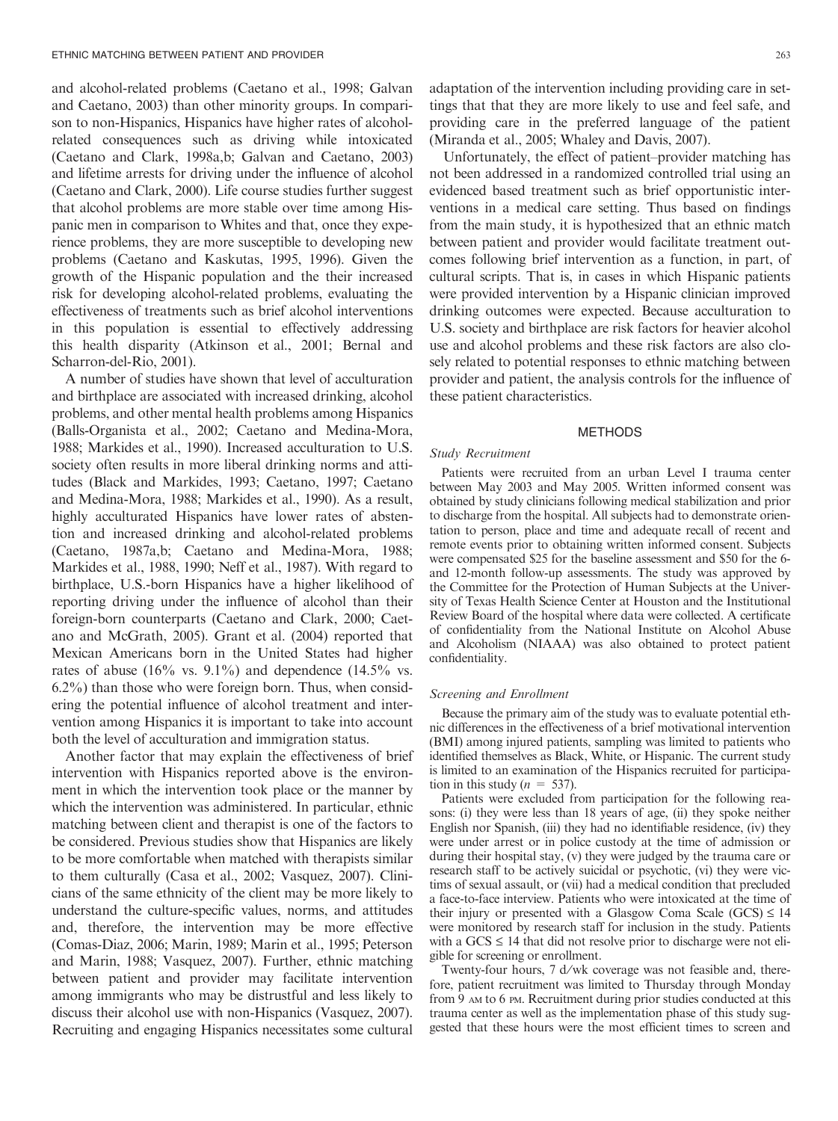and alcohol-related problems (Caetano et al., 1998; Galvan and Caetano, 2003) than other minority groups. In comparison to non-Hispanics, Hispanics have higher rates of alcoholrelated consequences such as driving while intoxicated (Caetano and Clark, 1998a,b; Galvan and Caetano, 2003) and lifetime arrests for driving under the influence of alcohol (Caetano and Clark, 2000). Life course studies further suggest that alcohol problems are more stable over time among Hispanic men in comparison to Whites and that, once they experience problems, they are more susceptible to developing new problems (Caetano and Kaskutas, 1995, 1996). Given the growth of the Hispanic population and the their increased risk for developing alcohol-related problems, evaluating the effectiveness of treatments such as brief alcohol interventions in this population is essential to effectively addressing this health disparity (Atkinson et al., 2001; Bernal and Scharron-del-Rio, 2001).

A number of studies have shown that level of acculturation and birthplace are associated with increased drinking, alcohol problems, and other mental health problems among Hispanics (Balls-Organista et al., 2002; Caetano and Medina-Mora, 1988; Markides et al., 1990). Increased acculturation to U.S. society often results in more liberal drinking norms and attitudes (Black and Markides, 1993; Caetano, 1997; Caetano and Medina-Mora, 1988; Markides et al., 1990). As a result, highly acculturated Hispanics have lower rates of abstention and increased drinking and alcohol-related problems (Caetano, 1987a,b; Caetano and Medina-Mora, 1988; Markides et al., 1988, 1990; Neff et al., 1987). With regard to birthplace, U.S.-born Hispanics have a higher likelihood of reporting driving under the influence of alcohol than their foreign-born counterparts (Caetano and Clark, 2000; Caetano and McGrath, 2005). Grant et al. (2004) reported that Mexican Americans born in the United States had higher rates of abuse (16% vs.  $9.1\%$ ) and dependence (14.5% vs. 6.2%) than those who were foreign born. Thus, when considering the potential influence of alcohol treatment and intervention among Hispanics it is important to take into account both the level of acculturation and immigration status.

Another factor that may explain the effectiveness of brief intervention with Hispanics reported above is the environment in which the intervention took place or the manner by which the intervention was administered. In particular, ethnic matching between client and therapist is one of the factors to be considered. Previous studies show that Hispanics are likely to be more comfortable when matched with therapists similar to them culturally (Casa et al., 2002; Vasquez, 2007). Clinicians of the same ethnicity of the client may be more likely to understand the culture-specific values, norms, and attitudes and, therefore, the intervention may be more effective (Comas-Diaz, 2006; Marin, 1989; Marin et al., 1995; Peterson and Marin, 1988; Vasquez, 2007). Further, ethnic matching between patient and provider may facilitate intervention among immigrants who may be distrustful and less likely to discuss their alcohol use with non-Hispanics (Vasquez, 2007). Recruiting and engaging Hispanics necessitates some cultural

Unfortunately, the effect of patient–provider matching has not been addressed in a randomized controlled trial using an evidenced based treatment such as brief opportunistic interventions in a medical care setting. Thus based on findings from the main study, it is hypothesized that an ethnic match between patient and provider would facilitate treatment outcomes following brief intervention as a function, in part, of cultural scripts. That is, in cases in which Hispanic patients were provided intervention by a Hispanic clinician improved drinking outcomes were expected. Because acculturation to U.S. society and birthplace are risk factors for heavier alcohol use and alcohol problems and these risk factors are also closely related to potential responses to ethnic matching between provider and patient, the analysis controls for the influence of these patient characteristics.

#### METHODS

## Study Recruitment

Patients were recruited from an urban Level I trauma center between May 2003 and May 2005. Written informed consent was obtained by study clinicians following medical stabilization and prior to discharge from the hospital. All subjects had to demonstrate orientation to person, place and time and adequate recall of recent and remote events prior to obtaining written informed consent. Subjects were compensated \$25 for the baseline assessment and \$50 for the 6 and 12-month follow-up assessments. The study was approved by the Committee for the Protection of Human Subjects at the University of Texas Health Science Center at Houston and the Institutional Review Board of the hospital where data were collected. A certificate of confidentiality from the National Institute on Alcohol Abuse and Alcoholism (NIAAA) was also obtained to protect patient confidentiality.

#### Screening and Enrollment

Because the primary aim of the study was to evaluate potential ethnic differences in the effectiveness of a brief motivational intervention (BMI) among injured patients, sampling was limited to patients who identified themselves as Black, White, or Hispanic. The current study is limited to an examination of the Hispanics recruited for participation in this study ( $n = 537$ ).

Patients were excluded from participation for the following reasons: (i) they were less than 18 years of age, (ii) they spoke neither English nor Spanish, (iii) they had no identifiable residence, (iv) they were under arrest or in police custody at the time of admission or during their hospital stay, (v) they were judged by the trauma care or research staff to be actively suicidal or psychotic, (vi) they were victims of sexual assault, or (vii) had a medical condition that precluded a face-to-face interview. Patients who were intoxicated at the time of their injury or presented with a Glasgow Coma Scale  $(GCS) \le 14$ were monitored by research staff for inclusion in the study. Patients with a  $GCS \leq 14$  that did not resolve prior to discharge were not eligible for screening or enrollment.

Twenty-four hours, 7 d/wk coverage was not feasible and, therefore, patient recruitment was limited to Thursday through Monday from 9 am to 6 pm. Recruitment during prior studies conducted at this trauma center as well as the implementation phase of this study suggested that these hours were the most efficient times to screen and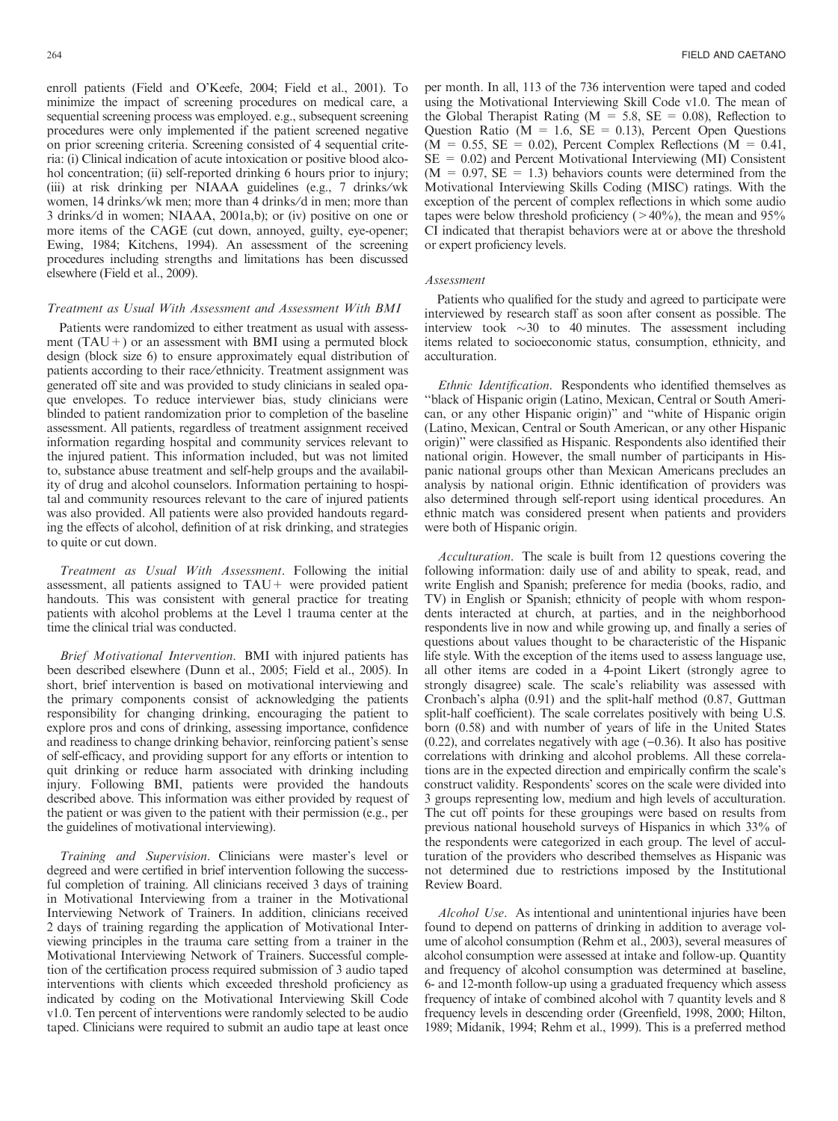enroll patients (Field and O'Keefe, 2004; Field et al., 2001). To minimize the impact of screening procedures on medical care, a sequential screening process was employed. e.g., subsequent screening procedures were only implemented if the patient screened negative on prior screening criteria. Screening consisted of 4 sequential criteria: (i) Clinical indication of acute intoxication or positive blood alcohol concentration; (ii) self-reported drinking 6 hours prior to injury; (iii) at risk drinking per NIAAA guidelines (e.g., 7 drinks⁄wk women, 14 drinks⁄wk men; more than 4 drinks⁄d in men; more than 3 drinks⁄d in women; NIAAA, 2001a,b); or (iv) positive on one or more items of the CAGE (cut down, annoyed, guilty, eye-opener; Ewing, 1984; Kitchens, 1994). An assessment of the screening procedures including strengths and limitations has been discussed elsewhere (Field et al., 2009).

#### Treatment as Usual With Assessment and Assessment With BMI

Patients were randomized to either treatment as usual with assessment  $(TAU+)$  or an assessment with BMI using a permuted block design (block size 6) to ensure approximately equal distribution of patients according to their race ⁄ ethnicity. Treatment assignment was generated off site and was provided to study clinicians in sealed opaque envelopes. To reduce interviewer bias, study clinicians were blinded to patient randomization prior to completion of the baseline assessment. All patients, regardless of treatment assignment received information regarding hospital and community services relevant to the injured patient. This information included, but was not limited to, substance abuse treatment and self-help groups and the availability of drug and alcohol counselors. Information pertaining to hospital and community resources relevant to the care of injured patients was also provided. All patients were also provided handouts regarding the effects of alcohol, definition of at risk drinking, and strategies to quite or cut down.

Treatment as Usual With Assessment. Following the initial assessment, all patients assigned to  $TAU+$  were provided patient handouts. This was consistent with general practice for treating patients with alcohol problems at the Level 1 trauma center at the time the clinical trial was conducted.

Brief Motivational Intervention. BMI with injured patients has been described elsewhere (Dunn et al., 2005; Field et al., 2005). In short, brief intervention is based on motivational interviewing and the primary components consist of acknowledging the patients responsibility for changing drinking, encouraging the patient to explore pros and cons of drinking, assessing importance, confidence and readiness to change drinking behavior, reinforcing patient's sense of self-efficacy, and providing support for any efforts or intention to quit drinking or reduce harm associated with drinking including injury. Following BMI, patients were provided the handouts described above. This information was either provided by request of the patient or was given to the patient with their permission (e.g., per the guidelines of motivational interviewing).

Training and Supervision. Clinicians were master's level or degreed and were certified in brief intervention following the successful completion of training. All clinicians received 3 days of training in Motivational Interviewing from a trainer in the Motivational Interviewing Network of Trainers. In addition, clinicians received 2 days of training regarding the application of Motivational Interviewing principles in the trauma care setting from a trainer in the Motivational Interviewing Network of Trainers. Successful completion of the certification process required submission of 3 audio taped interventions with clients which exceeded threshold proficiency as indicated by coding on the Motivational Interviewing Skill Code v1.0. Ten percent of interventions were randomly selected to be audio taped. Clinicians were required to submit an audio tape at least once per month. In all, 113 of the 736 intervention were taped and coded using the Motivational Interviewing Skill Code v1.0. The mean of the Global Therapist Rating ( $M = 5.8$ , SE = 0.08), Reflection to Question Ratio ( $M = 1.6$ ,  $SE = 0.13$ ), Percent Open Questions  $(M = 0.55, SE = 0.02)$ , Percent Complex Reflections  $(M = 0.41,$  $SE = 0.02$ ) and Percent Motivational Interviewing (MI) Consistent  $(M = 0.97, SE = 1.3)$  behaviors counts were determined from the Motivational Interviewing Skills Coding (MISC) ratings. With the exception of the percent of complex reflections in which some audio tapes were below threshold proficiency  $(>40\%)$ , the mean and 95% CI indicated that therapist behaviors were at or above the threshold or expert proficiency levels.

#### Assessment

Patients who qualified for the study and agreed to participate were interviewed by research staff as soon after consent as possible. The interview took  $\sim$ 30 to 40 minutes. The assessment including items related to socioeconomic status, consumption, ethnicity, and acculturation.

Ethnic Identification. Respondents who identified themselves as ''black of Hispanic origin (Latino, Mexican, Central or South American, or any other Hispanic origin)'' and ''white of Hispanic origin (Latino, Mexican, Central or South American, or any other Hispanic origin)'' were classified as Hispanic. Respondents also identified their national origin. However, the small number of participants in Hispanic national groups other than Mexican Americans precludes an analysis by national origin. Ethnic identification of providers was also determined through self-report using identical procedures. An ethnic match was considered present when patients and providers were both of Hispanic origin.

Acculturation. The scale is built from 12 questions covering the following information: daily use of and ability to speak, read, and write English and Spanish; preference for media (books, radio, and TV) in English or Spanish; ethnicity of people with whom respondents interacted at church, at parties, and in the neighborhood respondents live in now and while growing up, and finally a series of questions about values thought to be characteristic of the Hispanic life style. With the exception of the items used to assess language use, all other items are coded in a 4-point Likert (strongly agree to strongly disagree) scale. The scale's reliability was assessed with Cronbach's alpha (0.91) and the split-half method (0.87, Guttman split-half coefficient). The scale correlates positively with being U.S. born (0.58) and with number of years of life in the United States  $(0.22)$ , and correlates negatively with age  $(-0.36)$ . It also has positive correlations with drinking and alcohol problems. All these correlations are in the expected direction and empirically confirm the scale's construct validity. Respondents' scores on the scale were divided into 3 groups representing low, medium and high levels of acculturation. The cut off points for these groupings were based on results from previous national household surveys of Hispanics in which 33% of the respondents were categorized in each group. The level of acculturation of the providers who described themselves as Hispanic was not determined due to restrictions imposed by the Institutional Review Board.

Alcohol Use. As intentional and unintentional injuries have been found to depend on patterns of drinking in addition to average volume of alcohol consumption (Rehm et al., 2003), several measures of alcohol consumption were assessed at intake and follow-up. Quantity and frequency of alcohol consumption was determined at baseline, 6- and 12-month follow-up using a graduated frequency which assess frequency of intake of combined alcohol with 7 quantity levels and 8 frequency levels in descending order (Greenfield, 1998, 2000; Hilton, 1989; Midanik, 1994; Rehm et al., 1999). This is a preferred method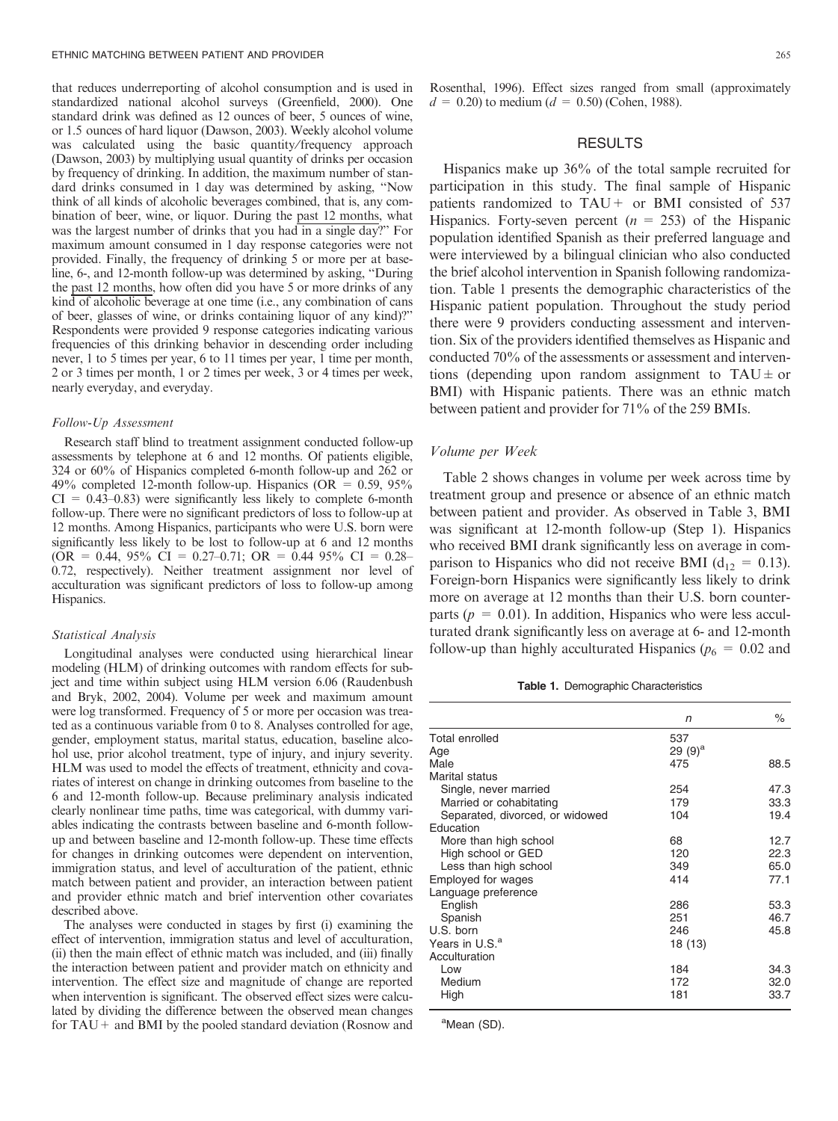that reduces underreporting of alcohol consumption and is used in standardized national alcohol surveys (Greenfield, 2000). One standard drink was defined as 12 ounces of beer, 5 ounces of wine, or 1.5 ounces of hard liquor (Dawson, 2003). Weekly alcohol volume was calculated using the basic quantity/frequency approach (Dawson, 2003) by multiplying usual quantity of drinks per occasion by frequency of drinking. In addition, the maximum number of standard drinks consumed in 1 day was determined by asking, ''Now think of all kinds of alcoholic beverages combined, that is, any combination of beer, wine, or liquor. During the past 12 months, what was the largest number of drinks that you had in a single day?'' For maximum amount consumed in 1 day response categories were not provided. Finally, the frequency of drinking 5 or more per at baseline, 6-, and 12-month follow-up was determined by asking, ''During the past 12 months, how often did you have 5 or more drinks of any kind of alcoholic beverage at one time (i.e., any combination of cans of beer, glasses of wine, or drinks containing liquor of any kind)?'' Respondents were provided 9 response categories indicating various frequencies of this drinking behavior in descending order including never, 1 to 5 times per year, 6 to 11 times per year, 1 time per month, 2 or 3 times per month, 1 or 2 times per week, 3 or 4 times per week, nearly everyday, and everyday.

#### Follow-Up Assessment

Research staff blind to treatment assignment conducted follow-up assessments by telephone at 6 and 12 months. Of patients eligible, 324 or 60% of Hispanics completed 6-month follow-up and 262 or 49% completed 12-month follow-up. Hispanics (OR =  $0.59, 95\%$ )  $CI = 0.43{\text -}0.83$ ) were significantly less likely to complete 6-month follow-up. There were no significant predictors of loss to follow-up at 12 months. Among Hispanics, participants who were U.S. born were significantly less likely to be lost to follow-up at 6 and 12 months  $(OR = 0.44, 95\% \text{ CI} = 0.27 \text{--} 0.71; OR = 0.44, 95\% \text{ CI} = 0.28 \text{--}$ 0.72, respectively). Neither treatment assignment nor level of acculturation was significant predictors of loss to follow-up among Hispanics.

#### Statistical Analysis

Longitudinal analyses were conducted using hierarchical linear modeling (HLM) of drinking outcomes with random effects for subject and time within subject using HLM version 6.06 (Raudenbush and Bryk, 2002, 2004). Volume per week and maximum amount were log transformed. Frequency of 5 or more per occasion was treated as a continuous variable from 0 to 8. Analyses controlled for age, gender, employment status, marital status, education, baseline alcohol use, prior alcohol treatment, type of injury, and injury severity. HLM was used to model the effects of treatment, ethnicity and covariates of interest on change in drinking outcomes from baseline to the 6 and 12-month follow-up. Because preliminary analysis indicated clearly nonlinear time paths, time was categorical, with dummy variables indicating the contrasts between baseline and 6-month followup and between baseline and 12-month follow-up. These time effects for changes in drinking outcomes were dependent on intervention, immigration status, and level of acculturation of the patient, ethnic match between patient and provider, an interaction between patient and provider ethnic match and brief intervention other covariates described above.

The analyses were conducted in stages by first (i) examining the effect of intervention, immigration status and level of acculturation, (ii) then the main effect of ethnic match was included, and (iii) finally the interaction between patient and provider match on ethnicity and intervention. The effect size and magnitude of change are reported when intervention is significant. The observed effect sizes were calculated by dividing the difference between the observed mean changes for TAU+ and BMI by the pooled standard deviation (Rosnow and

Rosenthal, 1996). Effect sizes ranged from small (approximately  $d = 0.20$ ) to medium ( $d = 0.50$ ) (Cohen, 1988).

## RESULTS

Hispanics make up 36% of the total sample recruited for participation in this study. The final sample of Hispanic patients randomized to TAU+ or BMI consisted of 537 Hispanics. Forty-seven percent ( $n = 253$ ) of the Hispanic population identified Spanish as their preferred language and were interviewed by a bilingual clinician who also conducted the brief alcohol intervention in Spanish following randomization. Table 1 presents the demographic characteristics of the Hispanic patient population. Throughout the study period there were 9 providers conducting assessment and intervention. Six of the providers identified themselves as Hispanic and conducted 70% of the assessments or assessment and interventions (depending upon random assignment to  $TAU \pm or$ BMI) with Hispanic patients. There was an ethnic match between patient and provider for 71% of the 259 BMIs.

### Volume per Week

Table 2 shows changes in volume per week across time by treatment group and presence or absence of an ethnic match between patient and provider. As observed in Table 3, BMI was significant at 12-month follow-up (Step 1). Hispanics who received BMI drank significantly less on average in comparison to Hispanics who did not receive BMI ( $d_{12} = 0.13$ ). Foreign-born Hispanics were significantly less likely to drink more on average at 12 months than their U.S. born counterparts ( $p = 0.01$ ). In addition, Hispanics who were less acculturated drank significantly less on average at 6- and 12-month follow-up than highly acculturated Hispanics ( $p_6 = 0.02$  and

Table 1. Demographic Characteristics

|                                 | n          | ℅    |
|---------------------------------|------------|------|
| <b>Total enrolled</b>           | 537        |      |
| Age                             | 29 $(9)^a$ |      |
| Male                            | 475        | 88.5 |
| <b>Marital status</b>           |            |      |
| Single, never married           | 254        | 47.3 |
| Married or cohabitating         | 179        | 33.3 |
| Separated, divorced, or widowed | 104        | 19.4 |
| Education                       |            |      |
| More than high school           | 68         | 12.7 |
| High school or GED              | 120        | 22.3 |
| Less than high school           | 349        | 65.0 |
| Employed for wages              | 414        | 77.1 |
| Language preference             |            |      |
| English                         | 286        | 53.3 |
| Spanish                         | 251        | 46.7 |
| U.S. born                       | 246        | 45.8 |
| Years in U.S. <sup>a</sup>      | 18 (13)    |      |
| Acculturation                   |            |      |
| Low                             | 184        | 34.3 |
| Medium                          | 172        | 32.0 |
| High                            | 181        | 33.7 |

<sup>a</sup>Mean (SD).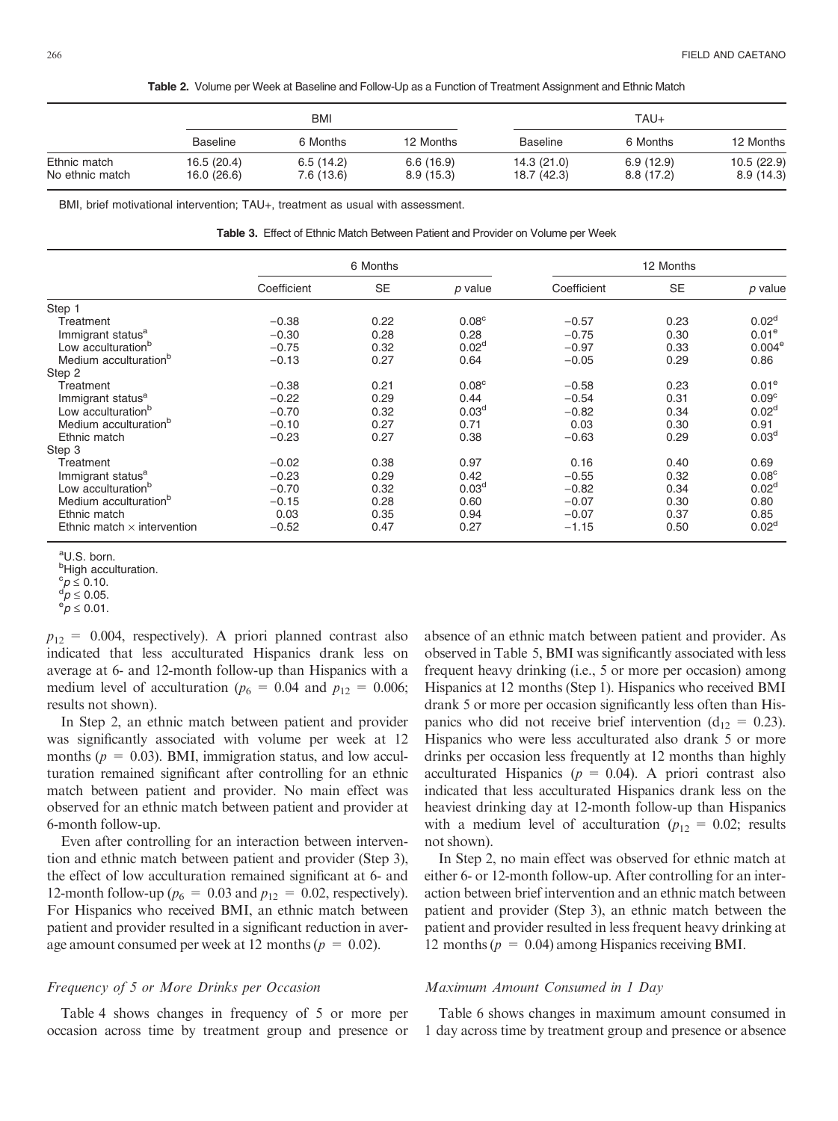|                                 |                           | <b>BMI</b>             |                        |                           | TAU+                   |                         |  |
|---------------------------------|---------------------------|------------------------|------------------------|---------------------------|------------------------|-------------------------|--|
|                                 | Baseline                  | 6 Months               | 12 Months              | Baseline                  | 6 Months               | 12 Months               |  |
| Ethnic match<br>No ethnic match | 16.5(20.4)<br>16.0 (26.6) | 6.5(14.2)<br>7.6(13.6) | 6.6(16.9)<br>8.9(15.3) | 14.3(21.0)<br>18.7 (42.3) | 6.9(12.9)<br>8.8(17.2) | 10.5(22.9)<br>8.9(14.3) |  |

Table 2. Volume per Week at Baseline and Follow-Up as a Function of Treatment Assignment and Ethnic Match

BMI, brief motivational intervention; TAU+, treatment as usual with assessment.

|  |  |  |  | Table 3. Effect of Ethnic Match Between Patient and Provider on Volume per Week |  |  |  |  |  |  |  |
|--|--|--|--|---------------------------------------------------------------------------------|--|--|--|--|--|--|--|
|--|--|--|--|---------------------------------------------------------------------------------|--|--|--|--|--|--|--|

|                                    | 6 Months    |           |                   | 12 Months   |           |                   |  |
|------------------------------------|-------------|-----------|-------------------|-------------|-----------|-------------------|--|
|                                    | Coefficient | <b>SE</b> | p value           | Coefficient | <b>SE</b> | p value           |  |
| Step 1                             |             |           |                   |             |           |                   |  |
| Treatment                          | $-0.38$     | 0.22      | 0.08 <sup>c</sup> | $-0.57$     | 0.23      | 0.02 <sup>d</sup> |  |
| Immigrant status <sup>a</sup>      | $-0.30$     | 0.28      | 0.28              | $-0.75$     | 0.30      | 0.01 <sup>e</sup> |  |
| Low acculturation <sup>b</sup>     | $-0.75$     | 0.32      | 0.02 <sup>d</sup> | $-0.97$     | 0.33      | $0.004^e$         |  |
| Medium acculturation <sup>b</sup>  | $-0.13$     | 0.27      | 0.64              | $-0.05$     | 0.29      | 0.86              |  |
| Step 2                             |             |           |                   |             |           |                   |  |
| Treatment                          | $-0.38$     | 0.21      | 0.08 <sup>c</sup> | $-0.58$     | 0.23      | 0.01 <sup>e</sup> |  |
| Immigrant status <sup>a</sup>      | $-0.22$     | 0.29      | 0.44              | $-0.54$     | 0.31      | 0.09 <sup>c</sup> |  |
| Low acculturation <sup>b</sup>     | $-0.70$     | 0.32      | 0.03 <sup>d</sup> | $-0.82$     | 0.34      | 0.02 <sup>d</sup> |  |
| Medium acculturation <sup>b</sup>  | $-0.10$     | 0.27      | 0.71              | 0.03        | 0.30      | 0.91              |  |
| Ethnic match                       | $-0.23$     | 0.27      | 0.38              | $-0.63$     | 0.29      | 0.03 <sup>d</sup> |  |
| Step 3                             |             |           |                   |             |           |                   |  |
| Treatment                          | $-0.02$     | 0.38      | 0.97              | 0.16        | 0.40      | 0.69              |  |
| Immigrant status <sup>a</sup>      | $-0.23$     | 0.29      | 0.42              | $-0.55$     | 0.32      | 0.08 <sup>c</sup> |  |
| Low acculturation <sup>b</sup>     | $-0.70$     | 0.32      | 0.03 <sup>d</sup> | $-0.82$     | 0.34      | 0.02 <sup>d</sup> |  |
| Medium acculturation <sup>b</sup>  | $-0.15$     | 0.28      | 0.60              | $-0.07$     | 0.30      | 0.80              |  |
| Ethnic match                       | 0.03        | 0.35      | 0.94              | $-0.07$     | 0.37      | 0.85              |  |
| Ethnic match $\times$ intervention | $-0.52$     | 0.47      | 0.27              | $-1.15$     | 0.50      | 0.02 <sup>d</sup> |  |

 $\mathrm{^{a}U.S.}$  born.

<sup>b</sup>High acculturation.

 $^{\circ}p \leq 0.10.$ 

 $\frac{e}{p} \leq 0.01$ .

 $p_{12} = 0.004$ , respectively). A priori planned contrast also indicated that less acculturated Hispanics drank less on average at 6- and 12-month follow-up than Hispanics with a medium level of acculturation ( $p_6 = 0.04$  and  $p_{12} = 0.006$ ; results not shown).

In Step 2, an ethnic match between patient and provider was significantly associated with volume per week at 12 months ( $p = 0.03$ ). BMI, immigration status, and low acculturation remained significant after controlling for an ethnic match between patient and provider. No main effect was observed for an ethnic match between patient and provider at 6-month follow-up.

Even after controlling for an interaction between intervention and ethnic match between patient and provider (Step 3), the effect of low acculturation remained significant at 6- and 12-month follow-up ( $p_6 = 0.03$  and  $p_{12} = 0.02$ , respectively). For Hispanics who received BMI, an ethnic match between patient and provider resulted in a significant reduction in average amount consumed per week at 12 months ( $p = 0.02$ ).

## Frequency of 5 or More Drinks per Occasion

Table 4 shows changes in frequency of 5 or more per occasion across time by treatment group and presence or absence of an ethnic match between patient and provider. As observed in Table 5, BMI was significantly associated with less frequent heavy drinking (i.e., 5 or more per occasion) among Hispanics at 12 months (Step 1). Hispanics who received BMI drank 5 or more per occasion significantly less often than Hispanics who did not receive brief intervention ( $d_{12} = 0.23$ ). Hispanics who were less acculturated also drank 5 or more drinks per occasion less frequently at 12 months than highly acculturated Hispanics ( $p = 0.04$ ). A priori contrast also indicated that less acculturated Hispanics drank less on the heaviest drinking day at 12-month follow-up than Hispanics with a medium level of acculturation ( $p_{12} = 0.02$ ; results not shown).

In Step 2, no main effect was observed for ethnic match at either 6- or 12-month follow-up. After controlling for an interaction between brief intervention and an ethnic match between patient and provider (Step 3), an ethnic match between the patient and provider resulted in less frequent heavy drinking at 12 months ( $p = 0.04$ ) among Hispanics receiving BMI.

## Maximum Amount Consumed in 1 Day

Table 6 shows changes in maximum amount consumed in 1 day across time by treatment group and presence or absence

 $^{\circ}p$   $\leq$  0.05.<br> $^{\circ}$ n < 0.01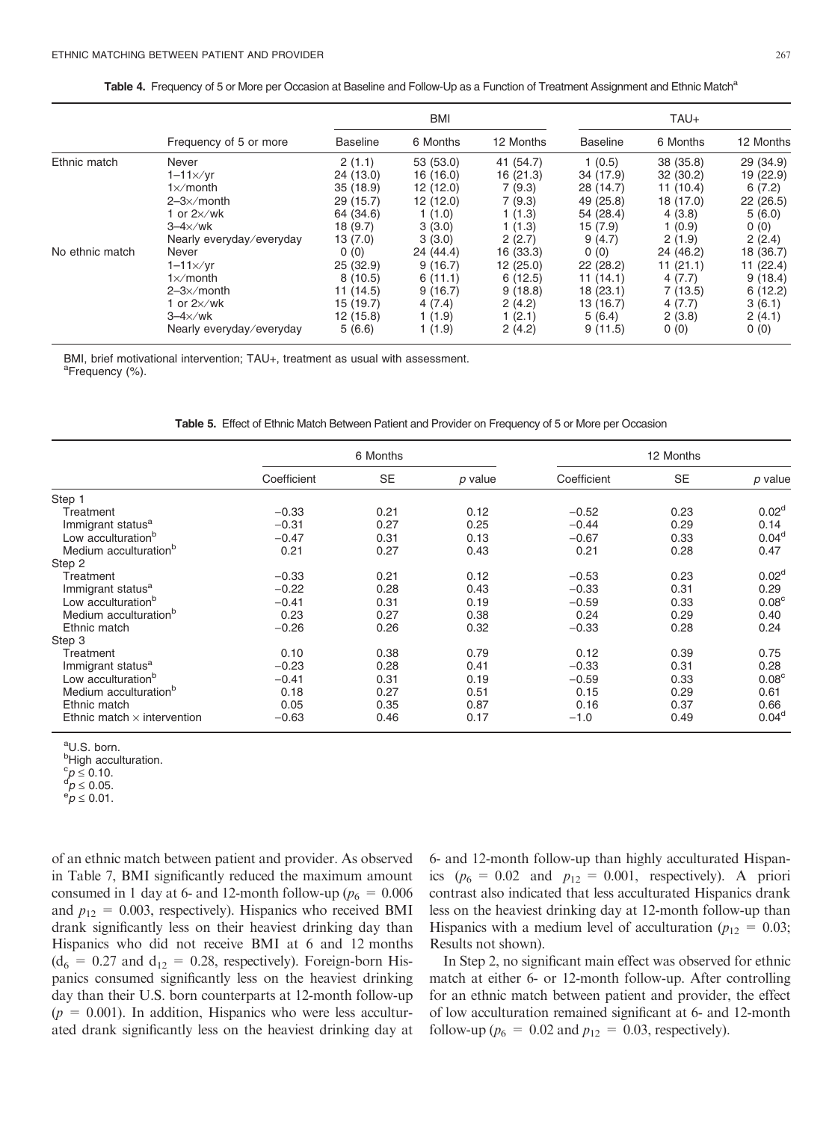Table 4. Frequency of 5 or More per Occasion at Baseline and Follow-Up as a Function of Treatment Assignment and Ethnic Match<sup>a</sup>

|                 | Frequency of 5 or more   |                 | <b>BMI</b> |           | TAU+            |           |           |
|-----------------|--------------------------|-----------------|------------|-----------|-----------------|-----------|-----------|
|                 |                          | <b>Baseline</b> | 6 Months   | 12 Months | <b>Baseline</b> | 6 Months  | 12 Months |
| Ethnic match    | Never                    | 2(1.1)          | 53 (53.0)  | 41 (54.7) | 1(0.5)          | 38 (35.8) | 29 (34.9) |
|                 | $1-11 \times /vr$        | 24(13.0)        | 16 (16.0)  | 16(21.3)  | 34 (17.9)       | 32(30.2)  | 19 (22.9) |
|                 | $1 \times$ /month        | 35(18.9)        | 12 (12.0)  | 7(9.3)    | 28 (14.7)       | 11(10.4)  | 6(7.2)    |
|                 | $2 - 3 \times /$ month   | 29 (15.7)       | 12 (12.0)  | 7(9.3)    | 49 (25.8)       | 18 (17.0) | 22(26.5)  |
|                 | 1 or $2 \times$ /wk      | 64 (34.6)       | (1.0)      | 1(1.3)    | 54 (28.4)       | 4(3.8)    | 5(6.0)    |
|                 | $3-4\times$ /wk          | 18 (9.7)        | 3(3.0)     | 1(1.3)    | 15(7.9)         | 1(0.9)    | 0(0)      |
|                 | Nearly everyday/everyday | 13(7.0)         | 3(3.0)     | 2(2.7)    | 9(4.7)          | 2(1.9)    | 2(2.4)    |
| No ethnic match | Never                    | 0(0)            | 24 (44.4)  | 16 (33.3) | 0(0)            | 24 (46.2) | 18 (36.7) |
|                 | $1 - 11 \times /$ vr     | 25(32.9)        | 9(16.7)    | 12(25.0)  | 22(28.2)        | 11(21.1)  | 11(22.4)  |
|                 | $1 \times$ /month        | 8(10.5)         | 6(11.1)    | 6(12.5)   | 11(14.1)        | 4(7.7)    | 9(18.4)   |
|                 | $2 - 3 \times /$ month   | 11 (14.5)       | 9(16.7)    | 9(18.8)   | 18(23.1)        | 7(13.5)   | 6(12.2)   |
|                 | 1 or $2 \times$ /wk      | 15 (19.7)       | 4(7.4)     | 2(4.2)    | 13 (16.7)       | 4(7.7)    | 3(6.1)    |
|                 | $3 - 4 \times$ /wk       | 12 (15.8)       | (1.9)      | 1(2.1)    | 5(6.4)          | 2(3.8)    | 2(4.1)    |
|                 | Nearly everyday/everyday | 5(6.6)          | (1.9)      | 2(4.2)    | 9(11.5)         | 0(0)      | 0(0)      |

BMI, brief motivational intervention; TAU+, treatment as usual with assessment. a Frequency (%).

| Table 5. Effect of Ethnic Match Between Patient and Provider on Frequency of 5 or More per Occasion |  |  |
|-----------------------------------------------------------------------------------------------------|--|--|
|-----------------------------------------------------------------------------------------------------|--|--|

|                                    | 6 Months    |           |         | 12 Months   |           |                   |  |
|------------------------------------|-------------|-----------|---------|-------------|-----------|-------------------|--|
|                                    | Coefficient | <b>SE</b> | p value | Coefficient | <b>SE</b> | p value           |  |
| Step 1                             |             |           |         |             |           |                   |  |
| Treatment                          | $-0.33$     | 0.21      | 0.12    | $-0.52$     | 0.23      | 0.02 <sup>d</sup> |  |
| Immigrant status <sup>a</sup>      | $-0.31$     | 0.27      | 0.25    | $-0.44$     | 0.29      | 0.14              |  |
| Low acculturation <sup>b</sup>     | $-0.47$     | 0.31      | 0.13    | $-0.67$     | 0.33      | 0.04 <sup>d</sup> |  |
| Medium acculturation <sup>b</sup>  | 0.21        | 0.27      | 0.43    | 0.21        | 0.28      | 0.47              |  |
| Step 2                             |             |           |         |             |           |                   |  |
| Treatment                          | $-0.33$     | 0.21      | 0.12    | $-0.53$     | 0.23      | 0.02 <sup>d</sup> |  |
| Immigrant status <sup>a</sup>      | $-0.22$     | 0.28      | 0.43    | $-0.33$     | 0.31      | 0.29              |  |
| Low acculturation <sup>b</sup>     | $-0.41$     | 0.31      | 0.19    | $-0.59$     | 0.33      | 0.08 <sup>c</sup> |  |
| Medium acculturation <sup>b</sup>  | 0.23        | 0.27      | 0.38    | 0.24        | 0.29      | 0.40              |  |
| Ethnic match                       | $-0.26$     | 0.26      | 0.32    | $-0.33$     | 0.28      | 0.24              |  |
| Step 3                             |             |           |         |             |           |                   |  |
| Treatment                          | 0.10        | 0.38      | 0.79    | 0.12        | 0.39      | 0.75              |  |
| Immigrant status <sup>a</sup>      | $-0.23$     | 0.28      | 0.41    | $-0.33$     | 0.31      | 0.28              |  |
| Low acculturation <sup>b</sup>     | $-0.41$     | 0.31      | 0.19    | $-0.59$     | 0.33      | 0.08 <sup>c</sup> |  |
| Medium acculturation <sup>b</sup>  | 0.18        | 0.27      | 0.51    | 0.15        | 0.29      | 0.61              |  |
| Ethnic match                       | 0.05        | 0.35      | 0.87    | 0.16        | 0.37      | 0.66              |  |
| Ethnic match $\times$ intervention | $-0.63$     | 0.46      | 0.17    | $-1.0$      | 0.49      | $0.04^\circ$      |  |

 $\mathrm{^{a}U.S.}$  born.

of an ethnic match between patient and provider. As observed in Table 7, BMI significantly reduced the maximum amount consumed in 1 day at 6- and 12-month follow-up ( $p_6 = 0.006$ ) and  $p_{12} = 0.003$ , respectively). Hispanics who received BMI drank significantly less on their heaviest drinking day than Hispanics who did not receive BMI at 6 and 12 months  $(d_6 = 0.27 \text{ and } d_{12} = 0.28,$  respectively). Foreign-born Hispanics consumed significantly less on the heaviest drinking day than their U.S. born counterparts at 12-month follow-up  $(p = 0.001)$ . In addition, Hispanics who were less acculturated drank significantly less on the heaviest drinking day at

6- and 12-month follow-up than highly acculturated Hispanics ( $p_6 = 0.02$  and  $p_{12} = 0.001$ , respectively). A priori contrast also indicated that less acculturated Hispanics drank less on the heaviest drinking day at 12-month follow-up than Hispanics with a medium level of acculturation ( $p_{12} = 0.03$ ; Results not shown).

In Step 2, no significant main effect was observed for ethnic match at either 6- or 12-month follow-up. After controlling for an ethnic match between patient and provider, the effect of low acculturation remained significant at 6- and 12-month follow-up ( $p_6 = 0.02$  and  $p_{12} = 0.03$ , respectively).

<sup>&</sup>lt;sup>b</sup>High acculturation.

 ${}^{c}p \leq 0.10$ .  $^{\rm c}$  $p \le 0.10$ .<br> $^{\rm d}$ n < 0.05.

 $^{\circ}$ p ≤ 0.05.<br> $^{\circ}$ p ≤ 0.01.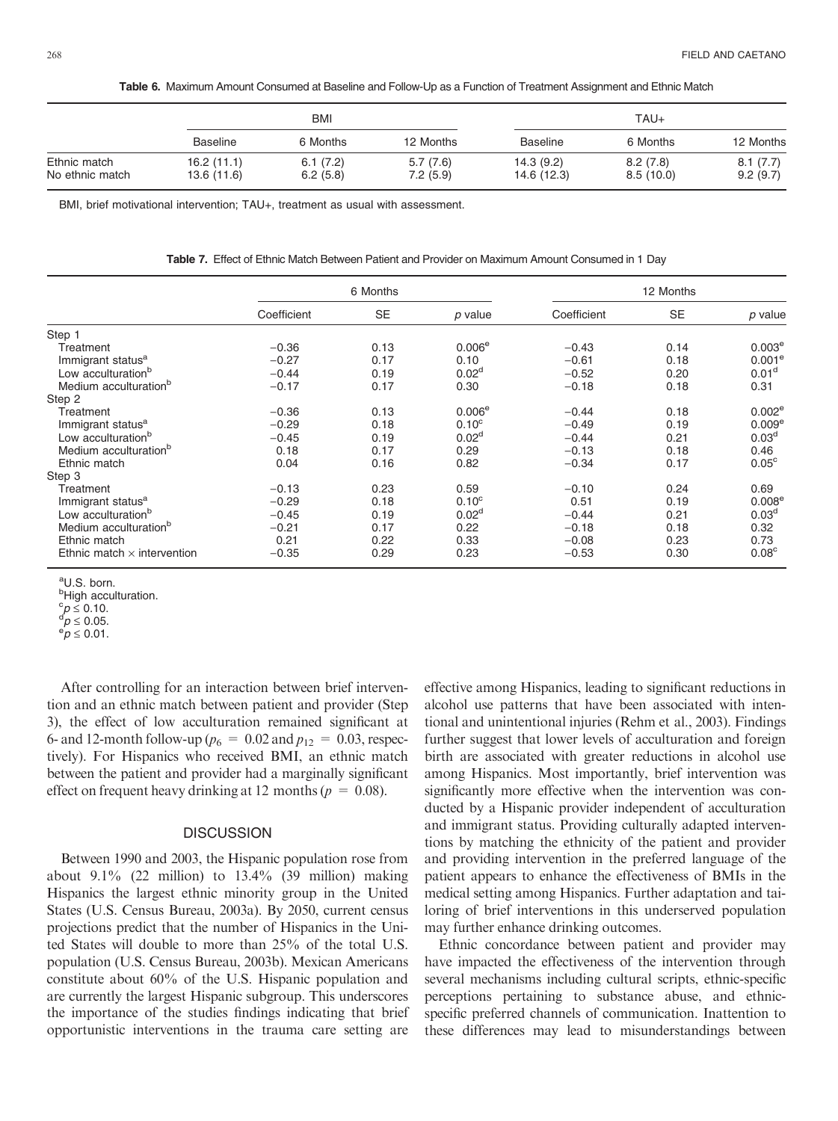|                                 | <b>BMI</b>                |                      |                      | TAU+                     |                       |                      |  |
|---------------------------------|---------------------------|----------------------|----------------------|--------------------------|-----------------------|----------------------|--|
|                                 | <b>Baseline</b>           | 6 Months             | 12 Months            | Baseline                 | 6 Months              | 12 Months            |  |
| Ethnic match<br>No ethnic match | 16.2(11.1)<br>13.6 (11.6) | 6.1(7.2)<br>6.2(5.8) | 5.7(7.6)<br>7.2(5.9) | 14.3(9.2)<br>14.6 (12.3) | 8.2(7.8)<br>8.5(10.0) | 8.1(7.7)<br>9.2(9.7) |  |

Table 6. Maximum Amount Consumed at Baseline and Follow-Up as a Function of Treatment Assignment and Ethnic Match

BMI, brief motivational intervention; TAU+, treatment as usual with assessment.

Table 7. Effect of Ethnic Match Between Patient and Provider on Maximum Amount Consumed in 1 Day

|                                    | 6 Months    |           |                   | 12 Months   |           |                    |  |
|------------------------------------|-------------|-----------|-------------------|-------------|-----------|--------------------|--|
|                                    | Coefficient | <b>SE</b> | p value           | Coefficient | <b>SE</b> | $p$ value          |  |
| Step 1                             |             |           |                   |             |           |                    |  |
| Treatment                          | $-0.36$     | 0.13      | $0.006^{\circ}$   | $-0.43$     | 0.14      | 0.003 <sup>e</sup> |  |
| Immigrant status <sup>a</sup>      | $-0.27$     | 0.17      | 0.10              | $-0.61$     | 0.18      | $0.001^e$          |  |
| Low acculturation <sup>b</sup>     | $-0.44$     | 0.19      | 0.02 <sup>d</sup> | $-0.52$     | 0.20      | 0.01 <sup>d</sup>  |  |
| Medium acculturation <sup>b</sup>  | $-0.17$     | 0.17      | 0.30              | $-0.18$     | 0.18      | 0.31               |  |
| Step 2                             |             |           |                   |             |           |                    |  |
| Treatment                          | $-0.36$     | 0.13      | $0.006^{\circ}$   | $-0.44$     | 0.18      | $0.002^e$          |  |
| Immigrant status <sup>a</sup>      | $-0.29$     | 0.18      | 0.10 <sup>c</sup> | $-0.49$     | 0.19      | 0.009 <sup>e</sup> |  |
| Low acculturation <sup>b</sup>     | $-0.45$     | 0.19      | 0.02 <sup>d</sup> | $-0.44$     | 0.21      | 0.03 <sup>d</sup>  |  |
| Medium acculturation <sup>b</sup>  | 0.18        | 0.17      | 0.29              | $-0.13$     | 0.18      | 0.46               |  |
| Ethnic match                       | 0.04        | 0.16      | 0.82              | $-0.34$     | 0.17      | 0.05 <sup>c</sup>  |  |
| Step 3                             |             |           |                   |             |           |                    |  |
| Treatment                          | $-0.13$     | 0.23      | 0.59              | $-0.10$     | 0.24      | 0.69               |  |
| Immigrant status <sup>a</sup>      | $-0.29$     | 0.18      | 0.10 <sup>c</sup> | 0.51        | 0.19      | $0.008^{\circ}$    |  |
| Low acculturation <sup>b</sup>     | $-0.45$     | 0.19      | 0.02 <sup>d</sup> | $-0.44$     | 0.21      | 0.03 <sup>d</sup>  |  |
| Medium acculturation <sup>b</sup>  | $-0.21$     | 0.17      | 0.22              | $-0.18$     | 0.18      | 0.32               |  |
| Ethnic match                       | 0.21        | 0.22      | 0.33              | $-0.08$     | 0.23      | 0.73               |  |
| Ethnic match $\times$ intervention | $-0.35$     | 0.29      | 0.23              | $-0.53$     | 0.30      | 0.08 <sup>c</sup>  |  |

 $\mathrm{^{a}U.S.}$  born.

After controlling for an interaction between brief intervention and an ethnic match between patient and provider (Step 3), the effect of low acculturation remained significant at 6- and 12-month follow-up ( $p_6 = 0.02$  and  $p_{12} = 0.03$ , respectively). For Hispanics who received BMI, an ethnic match between the patient and provider had a marginally significant effect on frequent heavy drinking at 12 months ( $p = 0.08$ ).

## **DISCUSSION**

Between 1990 and 2003, the Hispanic population rose from about  $9.1\%$  (22 million) to  $13.4\%$  (39 million) making Hispanics the largest ethnic minority group in the United States (U.S. Census Bureau, 2003a). By 2050, current census projections predict that the number of Hispanics in the United States will double to more than 25% of the total U.S. population (U.S. Census Bureau, 2003b). Mexican Americans constitute about 60% of the U.S. Hispanic population and are currently the largest Hispanic subgroup. This underscores the importance of the studies findings indicating that brief opportunistic interventions in the trauma care setting are

effective among Hispanics, leading to significant reductions in alcohol use patterns that have been associated with intentional and unintentional injuries (Rehm et al., 2003). Findings further suggest that lower levels of acculturation and foreign birth are associated with greater reductions in alcohol use among Hispanics. Most importantly, brief intervention was significantly more effective when the intervention was conducted by a Hispanic provider independent of acculturation and immigrant status. Providing culturally adapted interventions by matching the ethnicity of the patient and provider and providing intervention in the preferred language of the patient appears to enhance the effectiveness of BMIs in the medical setting among Hispanics. Further adaptation and tailoring of brief interventions in this underserved population may further enhance drinking outcomes.

Ethnic concordance between patient and provider may have impacted the effectiveness of the intervention through several mechanisms including cultural scripts, ethnic-specific perceptions pertaining to substance abuse, and ethnicspecific preferred channels of communication. Inattention to these differences may lead to misunderstandings between

<sup>&</sup>lt;sup>b</sup>High acculturation.

 $^{\circ}p \leq 0.10.$ 

 $^{\circ}$ p ≤ 0.05.<br> $^{\circ}$ p ≤ 0.01.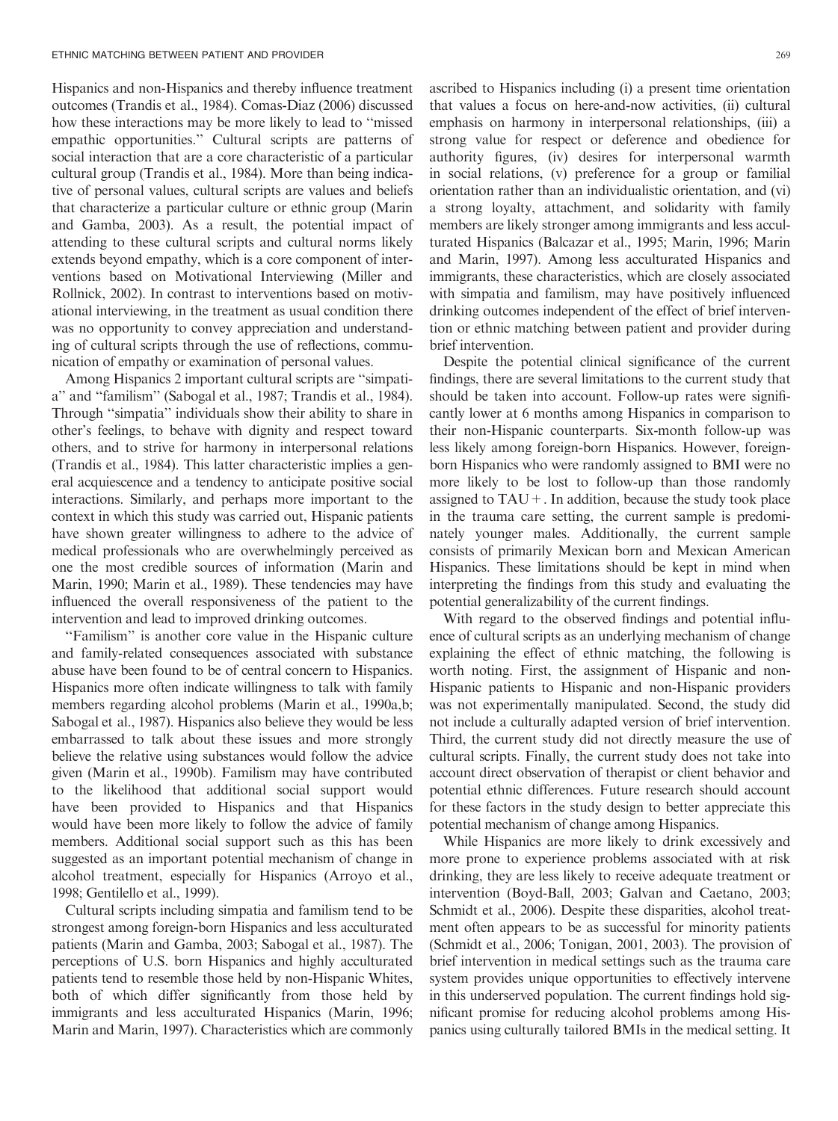Hispanics and non-Hispanics and thereby influence treatment outcomes (Trandis et al., 1984). Comas-Diaz (2006) discussed how these interactions may be more likely to lead to ''missed empathic opportunities.'' Cultural scripts are patterns of social interaction that are a core characteristic of a particular cultural group (Trandis et al., 1984). More than being indicative of personal values, cultural scripts are values and beliefs that characterize a particular culture or ethnic group (Marin and Gamba, 2003). As a result, the potential impact of attending to these cultural scripts and cultural norms likely extends beyond empathy, which is a core component of interventions based on Motivational Interviewing (Miller and Rollnick, 2002). In contrast to interventions based on motivational interviewing, in the treatment as usual condition there was no opportunity to convey appreciation and understanding of cultural scripts through the use of reflections, communication of empathy or examination of personal values.

Among Hispanics 2 important cultural scripts are ''simpatia'' and ''familism'' (Sabogal et al., 1987; Trandis et al., 1984). Through ''simpatia'' individuals show their ability to share in other's feelings, to behave with dignity and respect toward others, and to strive for harmony in interpersonal relations (Trandis et al., 1984). This latter characteristic implies a general acquiescence and a tendency to anticipate positive social interactions. Similarly, and perhaps more important to the context in which this study was carried out, Hispanic patients have shown greater willingness to adhere to the advice of medical professionals who are overwhelmingly perceived as one the most credible sources of information (Marin and Marin, 1990; Marin et al., 1989). These tendencies may have influenced the overall responsiveness of the patient to the intervention and lead to improved drinking outcomes.

''Familism'' is another core value in the Hispanic culture and family-related consequences associated with substance abuse have been found to be of central concern to Hispanics. Hispanics more often indicate willingness to talk with family members regarding alcohol problems (Marin et al., 1990a,b; Sabogal et al., 1987). Hispanics also believe they would be less embarrassed to talk about these issues and more strongly believe the relative using substances would follow the advice given (Marin et al., 1990b). Familism may have contributed to the likelihood that additional social support would have been provided to Hispanics and that Hispanics would have been more likely to follow the advice of family members. Additional social support such as this has been suggested as an important potential mechanism of change in alcohol treatment, especially for Hispanics (Arroyo et al., 1998; Gentilello et al., 1999).

Cultural scripts including simpatia and familism tend to be strongest among foreign-born Hispanics and less acculturated patients (Marin and Gamba, 2003; Sabogal et al., 1987). The perceptions of U.S. born Hispanics and highly acculturated patients tend to resemble those held by non-Hispanic Whites, both of which differ significantly from those held by immigrants and less acculturated Hispanics (Marin, 1996; Marin and Marin, 1997). Characteristics which are commonly ascribed to Hispanics including (i) a present time orientation that values a focus on here-and-now activities, (ii) cultural emphasis on harmony in interpersonal relationships, (iii) a strong value for respect or deference and obedience for authority figures, (iv) desires for interpersonal warmth in social relations, (v) preference for a group or familial orientation rather than an individualistic orientation, and (vi) a strong loyalty, attachment, and solidarity with family members are likely stronger among immigrants and less acculturated Hispanics (Balcazar et al., 1995; Marin, 1996; Marin and Marin, 1997). Among less acculturated Hispanics and immigrants, these characteristics, which are closely associated with simpatia and familism, may have positively influenced drinking outcomes independent of the effect of brief intervention or ethnic matching between patient and provider during brief intervention.

Despite the potential clinical significance of the current findings, there are several limitations to the current study that should be taken into account. Follow-up rates were significantly lower at 6 months among Hispanics in comparison to their non-Hispanic counterparts. Six-month follow-up was less likely among foreign-born Hispanics. However, foreignborn Hispanics who were randomly assigned to BMI were no more likely to be lost to follow-up than those randomly assigned to  $TAU+$ . In addition, because the study took place in the trauma care setting, the current sample is predominately younger males. Additionally, the current sample consists of primarily Mexican born and Mexican American Hispanics. These limitations should be kept in mind when interpreting the findings from this study and evaluating the potential generalizability of the current findings.

With regard to the observed findings and potential influence of cultural scripts as an underlying mechanism of change explaining the effect of ethnic matching, the following is worth noting. First, the assignment of Hispanic and non-Hispanic patients to Hispanic and non-Hispanic providers was not experimentally manipulated. Second, the study did not include a culturally adapted version of brief intervention. Third, the current study did not directly measure the use of cultural scripts. Finally, the current study does not take into account direct observation of therapist or client behavior and potential ethnic differences. Future research should account for these factors in the study design to better appreciate this potential mechanism of change among Hispanics.

While Hispanics are more likely to drink excessively and more prone to experience problems associated with at risk drinking, they are less likely to receive adequate treatment or intervention (Boyd-Ball, 2003; Galvan and Caetano, 2003; Schmidt et al., 2006). Despite these disparities, alcohol treatment often appears to be as successful for minority patients (Schmidt et al., 2006; Tonigan, 2001, 2003). The provision of brief intervention in medical settings such as the trauma care system provides unique opportunities to effectively intervene in this underserved population. The current findings hold significant promise for reducing alcohol problems among Hispanics using culturally tailored BMIs in the medical setting. It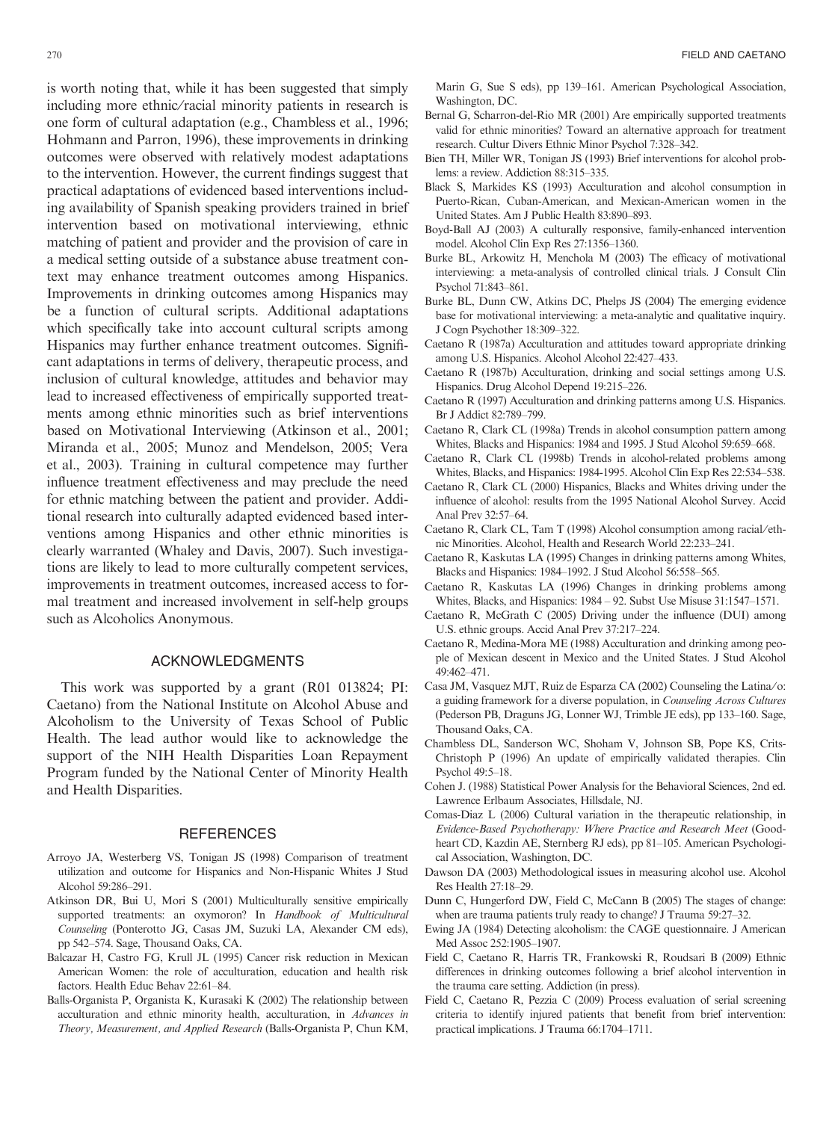is worth noting that, while it has been suggested that simply including more ethnic/racial minority patients in research is one form of cultural adaptation (e.g., Chambless et al., 1996; Hohmann and Parron, 1996), these improvements in drinking outcomes were observed with relatively modest adaptations to the intervention. However, the current findings suggest that practical adaptations of evidenced based interventions including availability of Spanish speaking providers trained in brief intervention based on motivational interviewing, ethnic matching of patient and provider and the provision of care in a medical setting outside of a substance abuse treatment context may enhance treatment outcomes among Hispanics. Improvements in drinking outcomes among Hispanics may be a function of cultural scripts. Additional adaptations which specifically take into account cultural scripts among Hispanics may further enhance treatment outcomes. Significant adaptations in terms of delivery, therapeutic process, and inclusion of cultural knowledge, attitudes and behavior may lead to increased effectiveness of empirically supported treatments among ethnic minorities such as brief interventions based on Motivational Interviewing (Atkinson et al., 2001; Miranda et al., 2005; Munoz and Mendelson, 2005; Vera et al., 2003). Training in cultural competence may further influence treatment effectiveness and may preclude the need for ethnic matching between the patient and provider. Additional research into culturally adapted evidenced based interventions among Hispanics and other ethnic minorities is clearly warranted (Whaley and Davis, 2007). Such investigations are likely to lead to more culturally competent services, improvements in treatment outcomes, increased access to formal treatment and increased involvement in self-help groups such as Alcoholics Anonymous.

## ACKNOWLEDGMENTS

This work was supported by a grant (R01 013824; PI: Caetano) from the National Institute on Alcohol Abuse and Alcoholism to the University of Texas School of Public Health. The lead author would like to acknowledge the support of the NIH Health Disparities Loan Repayment Program funded by the National Center of Minority Health and Health Disparities.

## **REFERENCES**

- Arroyo JA, Westerberg VS, Tonigan JS (1998) Comparison of treatment utilization and outcome for Hispanics and Non-Hispanic Whites J Stud Alcohol 59:286–291.
- Atkinson DR, Bui U, Mori S (2001) Multiculturally sensitive empirically supported treatments: an oxymoron? In Handbook of Multicultural Counseling (Ponterotto JG, Casas JM, Suzuki LA, Alexander CM eds), pp 542–574. Sage, Thousand Oaks, CA.
- Balcazar H, Castro FG, Krull JL (1995) Cancer risk reduction in Mexican American Women: the role of acculturation, education and health risk factors. Health Educ Behav 22:61–84.
- Balls-Organista P, Organista K, Kurasaki K (2002) The relationship between acculturation and ethnic minority health, acculturation, in Advances in Theory, Measurement, and Applied Research (Balls-Organista P, Chun KM,

Marin G, Sue S eds), pp 139–161. American Psychological Association, Washington, DC.

- Bernal G, Scharron-del-Rio MR (2001) Are empirically supported treatments valid for ethnic minorities? Toward an alternative approach for treatment research. Cultur Divers Ethnic Minor Psychol 7:328–342.
- Bien TH, Miller WR, Tonigan JS (1993) Brief interventions for alcohol problems: a review. Addiction 88:315–335.
- Black S, Markides KS (1993) Acculturation and alcohol consumption in Puerto-Rican, Cuban-American, and Mexican-American women in the United States. Am J Public Health 83:890–893.
- Boyd-Ball AJ (2003) A culturally responsive, family-enhanced intervention model. Alcohol Clin Exp Res 27:1356–1360.
- Burke BL, Arkowitz H, Menchola M (2003) The efficacy of motivational interviewing: a meta-analysis of controlled clinical trials. J Consult Clin Psychol 71:843–861.
- Burke BL, Dunn CW, Atkins DC, Phelps JS (2004) The emerging evidence base for motivational interviewing: a meta-analytic and qualitative inquiry. J Cogn Psychother 18:309–322.
- Caetano R (1987a) Acculturation and attitudes toward appropriate drinking among U.S. Hispanics. Alcohol Alcohol 22:427–433.
- Caetano R (1987b) Acculturation, drinking and social settings among U.S. Hispanics. Drug Alcohol Depend 19:215–226.
- Caetano R (1997) Acculturation and drinking patterns among U.S. Hispanics. Br J Addict 82:789–799.
- Caetano R, Clark CL (1998a) Trends in alcohol consumption pattern among Whites, Blacks and Hispanics: 1984 and 1995. J Stud Alcohol 59:659–668.
- Caetano R, Clark CL (1998b) Trends in alcohol-related problems among Whites, Blacks, and Hispanics: 1984-1995. Alcohol Clin Exp Res 22:534–538.
- Caetano R, Clark CL (2000) Hispanics, Blacks and Whites driving under the influence of alcohol: results from the 1995 National Alcohol Survey. Accid Anal Prev 32:57–64.
- Caetano R, Clark CL, Tam T (1998) Alcohol consumption among racial ⁄ ethnic Minorities. Alcohol, Health and Research World 22:233–241.
- Caetano R, Kaskutas LA (1995) Changes in drinking patterns among Whites, Blacks and Hispanics: 1984–1992. J Stud Alcohol 56:558–565.
- Caetano R, Kaskutas LA (1996) Changes in drinking problems among Whites, Blacks, and Hispanics: 1984 – 92. Subst Use Misuse 31:1547–1571.
- Caetano R, McGrath C (2005) Driving under the influence (DUI) among U.S. ethnic groups. Accid Anal Prev 37:217–224.
- Caetano R, Medina-Mora ME (1988) Acculturation and drinking among people of Mexican descent in Mexico and the United States. J Stud Alcohol 49:462–471.
- Casa JM, Vasquez MJT, Ruiz de Esparza CA (2002) Counseling the Latina/o: a guiding framework for a diverse population, in Counseling Across Cultures (Pederson PB, Draguns JG, Lonner WJ, Trimble JE eds), pp 133–160. Sage, Thousand Oaks, CA.
- Chambless DL, Sanderson WC, Shoham V, Johnson SB, Pope KS, Crits-Christoph P (1996) An update of empirically validated therapies. Clin Psychol 49:5–18.
- Cohen J. (1988) Statistical Power Analysis for the Behavioral Sciences, 2nd ed. Lawrence Erlbaum Associates, Hillsdale, NJ.
- Comas-Diaz L (2006) Cultural variation in the therapeutic relationship, in Evidence-Based Psychotherapy: Where Practice and Research Meet (Goodheart CD, Kazdin AE, Sternberg RJ eds), pp 81–105. American Psychological Association, Washington, DC.
- Dawson DA (2003) Methodological issues in measuring alcohol use. Alcohol Res Health 27:18–29.
- Dunn C, Hungerford DW, Field C, McCann B (2005) The stages of change: when are trauma patients truly ready to change? J Trauma 59:27–32.
- Ewing JA (1984) Detecting alcoholism: the CAGE questionnaire. J American Med Assoc 252:1905–1907.
- Field C, Caetano R, Harris TR, Frankowski R, Roudsari B (2009) Ethnic differences in drinking outcomes following a brief alcohol intervention in the trauma care setting. Addiction (in press).
- Field C, Caetano R, Pezzia C (2009) Process evaluation of serial screening criteria to identify injured patients that benefit from brief intervention: practical implications. J Trauma 66:1704–1711.